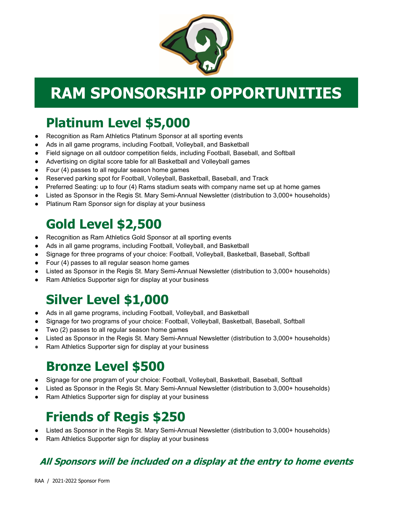

# RAM SPONSORSHIP OPPORTUNITIES

## Platinum Level \$5,000

- Recognition as Ram Athletics Platinum Sponsor at all sporting events
- Ads in all game programs, including Football, Volleyball, and Basketball
- Field signage on all outdoor competition fields, including Football, Baseball, and Softball
- Advertising on digital score table for all Basketball and Volleyball games
- Four (4) passes to all regular season home games
- Reserved parking spot for Football, Volleyball, Basketball, Baseball, and Track
- Preferred Seating: up to four (4) Rams stadium seats with company name set up at home games
- Listed as Sponsor in the Regis St. Mary Semi-Annual Newsletter (distribution to 3,000+ households)
- Platinum Ram Sponsor sign for display at your business

## Gold Level \$2,500

- Recognition as Ram Athletics Gold Sponsor at all sporting events
- Ads in all game programs, including Football, Volleyball, and Basketball
- Signage for three programs of your choice: Football, Volleyball, Basketball, Baseball, Softball
- Four (4) passes to all regular season home games
- Listed as Sponsor in the Regis St. Mary Semi-Annual Newsletter (distribution to 3,000+ households)
- Ram Athletics Supporter sign for display at your business

## Silver Level \$1,000

- Ads in all game programs, including Football, Volleyball, and Basketball
- Signage for two programs of your choice: Football, Volleyball, Basketball, Baseball, Softball
- Two (2) passes to all regular season home games
- Listed as Sponsor in the Regis St. Mary Semi-Annual Newsletter (distribution to 3,000+ households)
- Ram Athletics Supporter sign for display at your business

## Bronze Level \$500

- Signage for one program of your choice: Football, Volleyball, Basketball, Baseball, Softball
- Listed as Sponsor in the Regis St. Mary Semi-Annual Newsletter (distribution to 3,000+ households)
- Ram Athletics Supporter sign for display at your business

### Friends of Regis \$250

- Listed as Sponsor in the Regis St. Mary Semi-Annual Newsletter (distribution to 3,000+ households)
- Ram Athletics Supporter sign for display at your business

### All Sponsors will be included on a display at the entry to home events